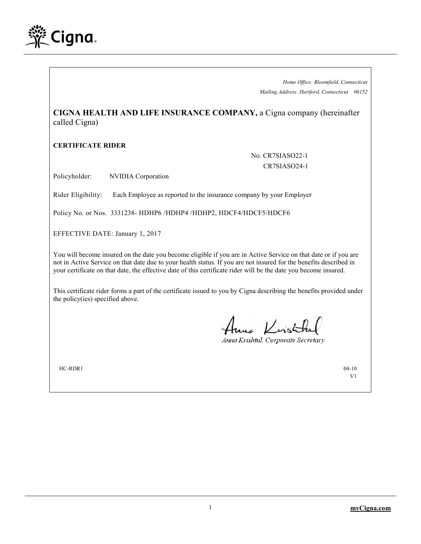

*Home Office: Bloomfield, Connecticut Mailing Address: Hartford, Connecticut 06152*

**CIGNA HEALTH AND LIFE INSURANCE COMPANY,** a Cigna company (hereinafter called Cigna)

## **CERTIFICATE RIDER**

No. CR7SIASO22-1 CR7SIASO24-1

Policyholder: NVIDIA Corporation

Rider Eligibility: Each Employee as reported to the insurance company by your Employer

Policy No. or Nos. 3331238- HDHP6 /HDHP4 /HDHP2, HDCF4/HDCF5/HDCF6

EFFECTIVE DATE: January 1, 2017

You will become insured on the date you become eligible if you are in Active Service on that date or if you are not in Active Service on that date due to your health status. If you are not insured for the benefits described in your certificate on that date, the effective date of this certificate rider will be the date you become insured.

This certificate rider forms a part of the certificate issued to you by Cigna describing the benefits provided under the policy(ies) specified above.

Anna Kristik

Anna Krishtul, Corporate Secretary

 $HC-RDR1$  04-10

V1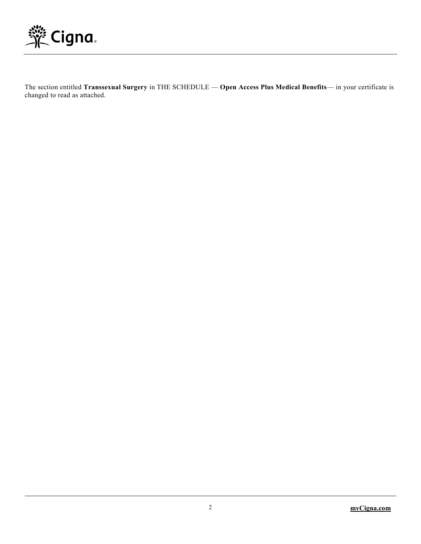

The section entitled **Transsexual Surgery** in THE SCHEDULE — **Open Access Plus Medical Benefits**— in your certificate is changed to read as attached.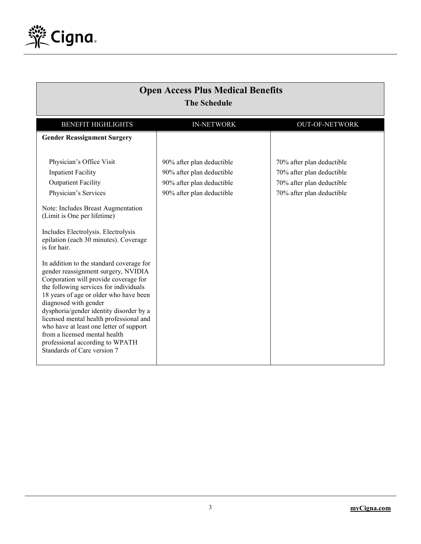

| <b>Open Access Plus Medical Benefits</b><br><b>The Schedule</b>                                                                                                                                                                                                                                                                                                                                                                                                                                                                                                                                                                                                                                                                                               |                                                                                                                  |                                                                                                                  |  |  |
|---------------------------------------------------------------------------------------------------------------------------------------------------------------------------------------------------------------------------------------------------------------------------------------------------------------------------------------------------------------------------------------------------------------------------------------------------------------------------------------------------------------------------------------------------------------------------------------------------------------------------------------------------------------------------------------------------------------------------------------------------------------|------------------------------------------------------------------------------------------------------------------|------------------------------------------------------------------------------------------------------------------|--|--|
| <b>BENEFIT HIGHLIGHTS</b>                                                                                                                                                                                                                                                                                                                                                                                                                                                                                                                                                                                                                                                                                                                                     | <b>IN-NETWORK</b>                                                                                                | <b>OUT-OF-NETWORK</b>                                                                                            |  |  |
| <b>Gender Reassignment Surgery</b>                                                                                                                                                                                                                                                                                                                                                                                                                                                                                                                                                                                                                                                                                                                            |                                                                                                                  |                                                                                                                  |  |  |
| Physician's Office Visit<br><b>Inpatient Facility</b><br><b>Outpatient Facility</b><br>Physician's Services<br>Note: Includes Breast Augmentation<br>(Limit is One per lifetime)<br>Includes Electrolysis. Electrolysis<br>epilation (each 30 minutes). Coverage<br>is for hair.<br>In addition to the standard coverage for<br>gender reassignment surgery, NVIDIA<br>Corporation will provide coverage for<br>the following services for individuals<br>18 years of age or older who have been<br>diagnosed with gender<br>dysphoria/gender identity disorder by a<br>licensed mental health professional and<br>who have at least one letter of support<br>from a licensed mental health<br>professional according to WPATH<br>Standards of Care version 7 | 90% after plan deductible<br>90% after plan deductible<br>90% after plan deductible<br>90% after plan deductible | 70% after plan deductible<br>70% after plan deductible<br>70% after plan deductible<br>70% after plan deductible |  |  |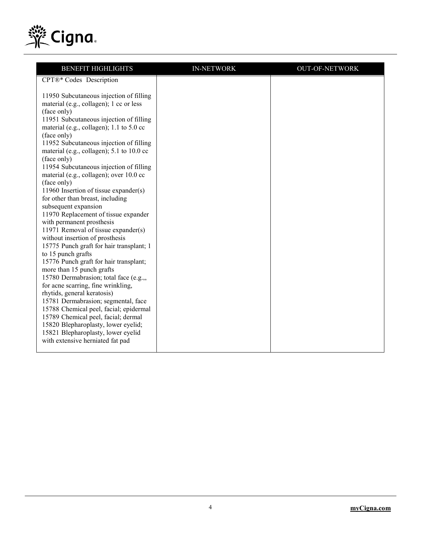

| <b>BENEFIT HIGHLIGHTS</b>                                                           | <b>IN-NETWORK</b> | <b>OUT-OF-NETWORK</b> |
|-------------------------------------------------------------------------------------|-------------------|-----------------------|
| CPT®* Codes Description                                                             |                   |                       |
|                                                                                     |                   |                       |
| 11950 Subcutaneous injection of filling                                             |                   |                       |
| material (e.g., collagen); 1 cc or less                                             |                   |                       |
| (face only)                                                                         |                   |                       |
| 11951 Subcutaneous injection of filling<br>material (e.g., collagen); 1.1 to 5.0 cc |                   |                       |
| (face only)                                                                         |                   |                       |
| 11952 Subcutaneous injection of filling                                             |                   |                       |
| material (e.g., collagen); 5.1 to 10.0 cc                                           |                   |                       |
| (face only)                                                                         |                   |                       |
| 11954 Subcutaneous injection of filling                                             |                   |                       |
| material (e.g., collagen); over 10.0 cc                                             |                   |                       |
| (face only)                                                                         |                   |                       |
| 11960 Insertion of tissue expander(s)                                               |                   |                       |
| for other than breast, including                                                    |                   |                       |
| subsequent expansion<br>11970 Replacement of tissue expander                        |                   |                       |
| with permanent prosthesis                                                           |                   |                       |
| 11971 Removal of tissue expander(s)                                                 |                   |                       |
| without insertion of prosthesis                                                     |                   |                       |
| 15775 Punch graft for hair transplant; 1                                            |                   |                       |
| to 15 punch grafts                                                                  |                   |                       |
| 15776 Punch graft for hair transplant;                                              |                   |                       |
| more than 15 punch grafts                                                           |                   |                       |
| 15780 Dermabrasion; total face (e.g.,,                                              |                   |                       |
| for acne scarring, fine wrinkling,<br>rhytids, general keratosis)                   |                   |                       |
| 15781 Dermabrasion; segmental, face                                                 |                   |                       |
| 15788 Chemical peel, facial; epidermal                                              |                   |                       |
| 15789 Chemical peel, facial; dermal                                                 |                   |                       |
| 15820 Blepharoplasty, lower eyelid;                                                 |                   |                       |
| 15821 Blepharoplasty, lower eyelid                                                  |                   |                       |
| with extensive herniated fat pad                                                    |                   |                       |
|                                                                                     |                   |                       |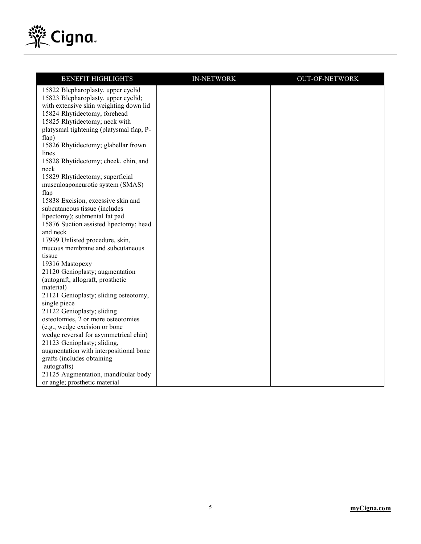

| <b>BENEFIT HIGHLIGHTS</b>                                               | <b>IN-NETWORK</b> | <b>OUT-OF-NETWORK</b> |
|-------------------------------------------------------------------------|-------------------|-----------------------|
| 15822 Blepharoplasty, upper eyelid                                      |                   |                       |
| 15823 Blepharoplasty, upper eyelid;                                     |                   |                       |
| with extensive skin weighting down lid                                  |                   |                       |
| 15824 Rhytidectomy, forehead                                            |                   |                       |
| 15825 Rhytidectomy; neck with                                           |                   |                       |
| platysmal tightening (platysmal flap, P-                                |                   |                       |
| flap)                                                                   |                   |                       |
| 15826 Rhytidectomy; glabellar frown                                     |                   |                       |
| lines                                                                   |                   |                       |
| 15828 Rhytidectomy; cheek, chin, and                                    |                   |                       |
| neck                                                                    |                   |                       |
| 15829 Rhytidectomy; superficial                                         |                   |                       |
| musculoaponeurotic system (SMAS)                                        |                   |                       |
| flap                                                                    |                   |                       |
| 15838 Excision, excessive skin and                                      |                   |                       |
| subcutaneous tissue (includes                                           |                   |                       |
| lipectomy); submental fat pad<br>15876 Suction assisted lipectomy; head |                   |                       |
| and neck                                                                |                   |                       |
| 17999 Unlisted procedure, skin,                                         |                   |                       |
| mucous membrane and subcutaneous                                        |                   |                       |
| tissue                                                                  |                   |                       |
| 19316 Mastopexy                                                         |                   |                       |
| 21120 Genioplasty; augmentation                                         |                   |                       |
| (autograft, allograft, prosthetic                                       |                   |                       |
| material)                                                               |                   |                       |
| 21121 Genioplasty; sliding osteotomy,                                   |                   |                       |
| single piece                                                            |                   |                       |
| 21122 Genioplasty; sliding                                              |                   |                       |
| osteotomies, 2 or more osteotomies                                      |                   |                       |
| (e.g., wedge excision or bone                                           |                   |                       |
| wedge reversal for asymmetrical chin)                                   |                   |                       |
| 21123 Genioplasty; sliding,                                             |                   |                       |
| augmentation with interpositional bone                                  |                   |                       |
| grafts (includes obtaining                                              |                   |                       |
| autografts)                                                             |                   |                       |
| 21125 Augmentation, mandibular body                                     |                   |                       |
| or angle; prosthetic material                                           |                   |                       |